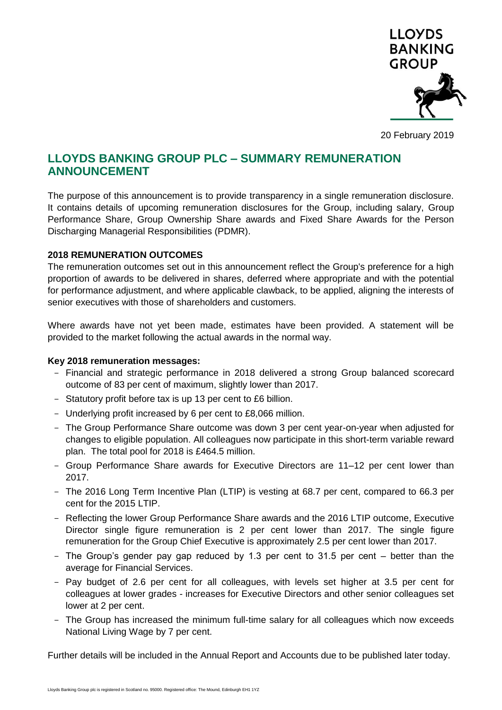

20 February 2019

## **LLOYDS BANKING GROUP PLC – SUMMARY REMUNERATION ANNOUNCEMENT**

The purpose of this announcement is to provide transparency in a single remuneration disclosure. It contains details of upcoming remuneration disclosures for the Group, including salary, Group Performance Share, Group Ownership Share awards and Fixed Share Awards for the Person Discharging Managerial Responsibilities (PDMR).

### **2018 REMUNERATION OUTCOMES**

The remuneration outcomes set out in this announcement reflect the Group's preference for a high proportion of awards to be delivered in shares, deferred where appropriate and with the potential for performance adjustment, and where applicable clawback, to be applied, aligning the interests of senior executives with those of shareholders and customers.

Where awards have not yet been made, estimates have been provided. A statement will be provided to the market following the actual awards in the normal way.

### **Key 2018 remuneration messages:**

- Financial and strategic performance in 2018 delivered a strong Group balanced scorecard outcome of 83 per cent of maximum, slightly lower than 2017.
- Statutory profit before tax is up 13 per cent to £6 billion.
- Underlying profit increased by 6 per cent to £8,066 million.
- The Group Performance Share outcome was down 3 per cent year-on-year when adjusted for changes to eligible population. All colleagues now participate in this short-term variable reward plan. The total pool for 2018 is £464.5 million.
- Group Performance Share awards for Executive Directors are 11–12 per cent lower than 2017.
- The 2016 Long Term Incentive Plan (LTIP) is vesting at 68.7 per cent, compared to 66.3 per cent for the 2015 LTIP.
- Reflecting the lower Group Performance Share awards and the 2016 LTIP outcome, Executive Director single figure remuneration is 2 per cent lower than 2017. The single figure remuneration for the Group Chief Executive is approximately 2.5 per cent lower than 2017.
- The Group's gender pay gap reduced by 1.3 per cent to 31.5 per cent better than the average for Financial Services.
- Pay budget of 2.6 per cent for all colleagues, with levels set higher at 3.5 per cent for colleagues at lower grades - increases for Executive Directors and other senior colleagues set lower at 2 per cent.
- The Group has increased the minimum full-time salary for all colleagues which now exceeds National Living Wage by 7 per cent.

Further details will be included in the Annual Report and Accounts due to be published later today.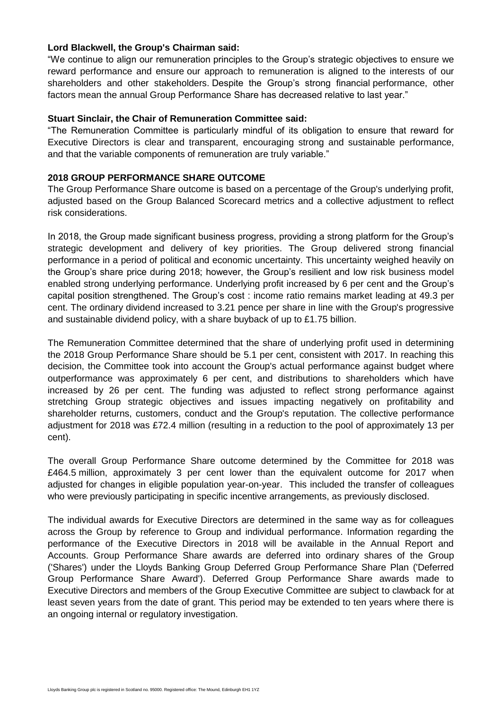#### **Lord Blackwell, the Group's Chairman said:**

"We continue to align our remuneration principles to the Group's strategic objectives to ensure we reward performance and ensure our approach to remuneration is aligned to the interests of our shareholders and other stakeholders. Despite the Group's strong financial performance, other factors mean the annual Group Performance Share has decreased relative to last year."

#### **Stuart Sinclair, the Chair of Remuneration Committee said:**

"The Remuneration Committee is particularly mindful of its obligation to ensure that reward for Executive Directors is clear and transparent, encouraging strong and sustainable performance, and that the variable components of remuneration are truly variable."

### **2018 GROUP PERFORMANCE SHARE OUTCOME**

The Group Performance Share outcome is based on a percentage of the Group's underlying profit, adjusted based on the Group Balanced Scorecard metrics and a collective adjustment to reflect risk considerations.

In 2018, the Group made significant business progress, providing a strong platform for the Group's strategic development and delivery of key priorities. The Group delivered strong financial performance in a period of political and economic uncertainty. This uncertainty weighed heavily on the Group's share price during 2018; however, the Group's resilient and low risk business model enabled strong underlying performance. Underlying profit increased by 6 per cent and the Group's capital position strengthened. The Group's cost : income ratio remains market leading at 49.3 per cent. The ordinary dividend increased to 3.21 pence per share in line with the Group's progressive and sustainable dividend policy, with a share buyback of up to £1.75 billion.

The Remuneration Committee determined that the share of underlying profit used in determining the 2018 Group Performance Share should be 5.1 per cent, consistent with 2017. In reaching this decision, the Committee took into account the Group's actual performance against budget where outperformance was approximately 6 per cent, and distributions to shareholders which have increased by 26 per cent. The funding was adjusted to reflect strong performance against stretching Group strategic objectives and issues impacting negatively on profitability and shareholder returns, customers, conduct and the Group's reputation. The collective performance adjustment for 2018 was £72.4 million (resulting in a reduction to the pool of approximately 13 per cent).

The overall Group Performance Share outcome determined by the Committee for 2018 was £464.5 million, approximately 3 per cent lower than the equivalent outcome for 2017 when adjusted for changes in eligible population year-on-year. This included the transfer of colleagues who were previously participating in specific incentive arrangements, as previously disclosed.

The individual awards for Executive Directors are determined in the same way as for colleagues across the Group by reference to Group and individual performance. Information regarding the performance of the Executive Directors in 2018 will be available in the Annual Report and Accounts. Group Performance Share awards are deferred into ordinary shares of the Group ('Shares') under the Lloyds Banking Group Deferred Group Performance Share Plan ('Deferred Group Performance Share Award'). Deferred Group Performance Share awards made to Executive Directors and members of the Group Executive Committee are subject to clawback for at least seven years from the date of grant. This period may be extended to ten years where there is an ongoing internal or regulatory investigation.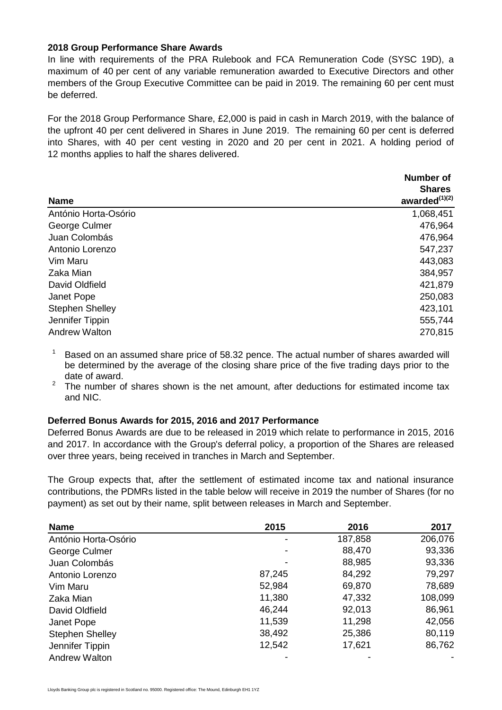#### **2018 Group Performance Share Awards**

In line with requirements of the PRA Rulebook and FCA Remuneration Code (SYSC 19D), a maximum of 40 per cent of any variable remuneration awarded to Executive Directors and other members of the Group Executive Committee can be paid in 2019. The remaining 60 per cent must be deferred.

For the 2018 Group Performance Share, £2,000 is paid in cash in March 2019, with the balance of the upfront 40 per cent delivered in Shares in June 2019. The remaining 60 per cent is deferred into Shares, with 40 per cent vesting in 2020 and 20 per cent in 2021. A holding period of 12 months applies to half the shares delivered.

| Number of           |
|---------------------|
| <b>Shares</b>       |
| awarded $^{(1)(2)}$ |
| 1,068,451           |
| 476,964             |
| 476,964             |
| 547,237             |
| 443,083             |
| 384,957             |
| 421,879             |
| 250,083             |
| 423,101             |
| 555,744             |
| 270,815             |
|                     |

 $1$  Based on an assumed share price of 58.32 pence. The actual number of shares awarded will be determined by the average of the closing share price of the five trading days prior to the date of award.

The number of shares shown is the net amount, after deductions for estimated income tax and NIC.

### **Deferred Bonus Awards for 2015, 2016 and 2017 Performance**

Deferred Bonus Awards are due to be released in 2019 which relate to performance in 2015, 2016 and 2017. In accordance with the Group's deferral policy, a proportion of the Shares are released over three years, being received in tranches in March and September.

The Group expects that, after the settlement of estimated income tax and national insurance contributions, the PDMRs listed in the table below will receive in 2019 the number of Shares (for no payment) as set out by their name, split between releases in March and September.

| <b>Name</b>            | 2015   | 2016    | 2017    |
|------------------------|--------|---------|---------|
| António Horta-Osório   |        | 187,858 | 206,076 |
| George Culmer          |        | 88,470  | 93,336  |
| Juan Colombás          |        | 88,985  | 93,336  |
| Antonio Lorenzo        | 87,245 | 84,292  | 79,297  |
| Vim Maru               | 52,984 | 69,870  | 78,689  |
| Zaka Mian              | 11,380 | 47,332  | 108,099 |
| David Oldfield         | 46,244 | 92,013  | 86,961  |
| Janet Pope             | 11,539 | 11,298  | 42,056  |
| <b>Stephen Shelley</b> | 38,492 | 25,386  | 80,119  |
| Jennifer Tippin        | 12,542 | 17,621  | 86,762  |
| <b>Andrew Walton</b>   |        |         |         |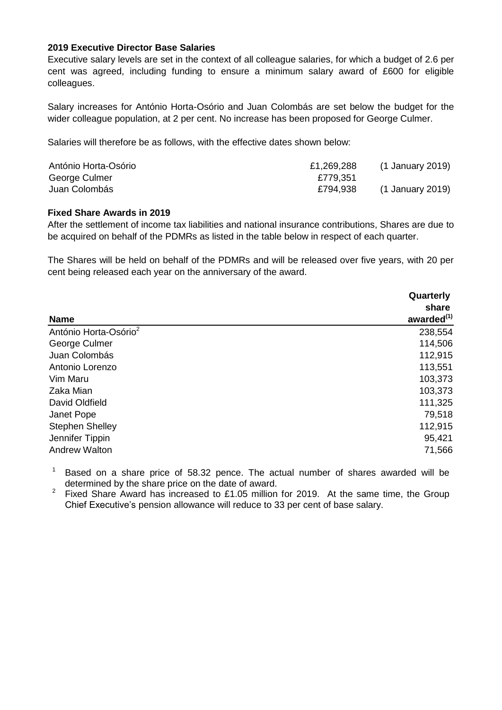#### **2019 Executive Director Base Salaries**

Executive salary levels are set in the context of all colleague salaries, for which a budget of 2.6 per cent was agreed, including funding to ensure a minimum salary award of £600 for eligible colleagues.

Salary increases for António Horta-Osório and Juan Colombás are set below the budget for the wider colleague population, at 2 per cent. No increase has been proposed for George Culmer.

Salaries will therefore be as follows, with the effective dates shown below:

| António Horta-Osório | £1,269,288 | (1 January 2019) |
|----------------------|------------|------------------|
| George Culmer        | £779,351   |                  |
| Juan Colombás        | £794,938   | (1 January 2019) |

#### **Fixed Share Awards in 2019**

After the settlement of income tax liabilities and national insurance contributions, Shares are due to be acquired on behalf of the PDMRs as listed in the table below in respect of each quarter.

The Shares will be held on behalf of the PDMRs and will be released over five years, with 20 per cent being released each year on the anniversary of the award.

| <b>Name</b>                       | Quarterly<br>share<br>awarded <sup>(1)</sup> |
|-----------------------------------|----------------------------------------------|
| António Horta-Osório <sup>2</sup> | 238,554                                      |
| George Culmer                     | 114,506                                      |
| Juan Colombás                     | 112,915                                      |
| Antonio Lorenzo                   | 113,551                                      |
| Vim Maru                          | 103,373                                      |
| Zaka Mian                         | 103,373                                      |
| David Oldfield                    | 111,325                                      |
| Janet Pope                        | 79,518                                       |
| <b>Stephen Shelley</b>            | 112,915                                      |
| Jennifer Tippin                   | 95,421                                       |
| <b>Andrew Walton</b>              | 71,566                                       |

 $1$  Based on a share price of 58.32 pence. The actual number of shares awarded will be determined by the share price on the date of award.

<sup>2</sup> Fixed Share Award has increased to £1.05 million for 2019. At the same time, the Group Chief Executive's pension allowance will reduce to 33 per cent of base salary.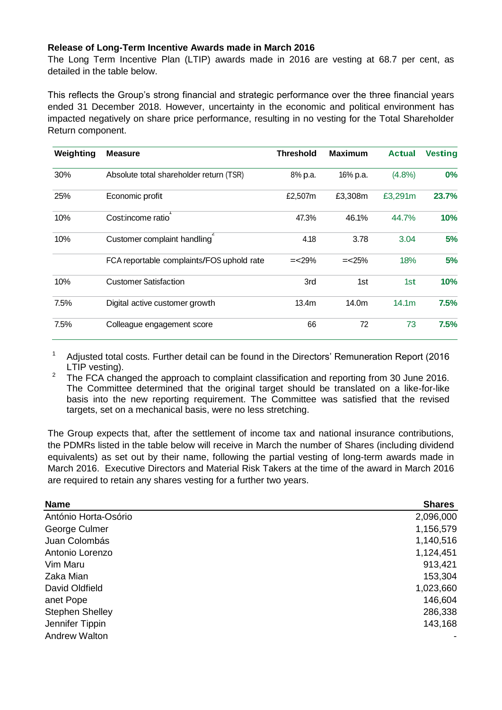#### **Release of Long-Term Incentive Awards made in March 2016**

The Long Term Incentive Plan (LTIP) awards made in 2016 are vesting at 68.7 per cent, as detailed in the table below.

This reflects the Group's strong financial and strategic performance over the three financial years ended 31 December 2018. However, uncertainty in the economic and political environment has impacted negatively on share price performance, resulting in no vesting for the Total Shareholder Return component.

| Weighting | <b>Measure</b>                            | <b>Threshold</b>  | <b>Maximum</b> | <b>Actual</b>     | <b>Vesting</b> |
|-----------|-------------------------------------------|-------------------|----------------|-------------------|----------------|
| 30%       | Absolute total shareholder return (TSR)   | 8% p.a.           | 16% p.a.       | (4.8%)            | $0\%$          |
| 25%       | Economic profit                           | £2,507m           | £3,308m        | £3,291m           | 23.7%          |
| 10%       | Cost:income ratio                         | 47.3%             | 46.1%          | 44.7%             | 10%            |
| 10%       | Customer complaint handling               | 4.18              | 3.78           | 3.04              | 5%             |
|           | FCA reportable complaints/FOS uphold rate | $=<29\%$          | $=<25\%$       | 18%               | 5%             |
| 10%       | <b>Customer Satisfaction</b>              | 3rd               | 1st            | 1st               | 10%            |
| 7.5%      | Digital active customer growth            | 13.4 <sub>m</sub> | 14.0m          | 14.1 <sub>m</sub> | 7.5%           |
| 7.5%      | Colleague engagement score                | 66                | 72             | 73                | 7.5%           |

<sup>1</sup> Adjusted total costs. Further detail can be found in the Directors' Remuneration Report (2016 LTIP vesting).

<sup>2</sup> The FCA changed the approach to complaint classification and reporting from 30 June 2016. The Committee determined that the original target should be translated on a like-for-like basis into the new reporting requirement. The Committee was satisfied that the revised targets, set on a mechanical basis, were no less stretching.

The Group expects that, after the settlement of income tax and national insurance contributions, the PDMRs listed in the table below will receive in March the number of Shares (including dividend equivalents) as set out by their name, following the partial vesting of long-term awards made in March 2016. Executive Directors and Material Risk Takers at the time of the award in March 2016 are required to retain any shares vesting for a further two years.

| <b>Name</b>            | <b>Shares</b> |
|------------------------|---------------|
| António Horta-Osório   | 2,096,000     |
| George Culmer          | 1,156,579     |
| Juan Colombás          | 1,140,516     |
| Antonio Lorenzo        | 1,124,451     |
| Vim Maru               | 913,421       |
| Zaka Mian              | 153,304       |
| David Oldfield         | 1,023,660     |
| anet Pope              | 146,604       |
| <b>Stephen Shelley</b> | 286,338       |
| Jennifer Tippin        | 143,168       |
| <b>Andrew Walton</b>   |               |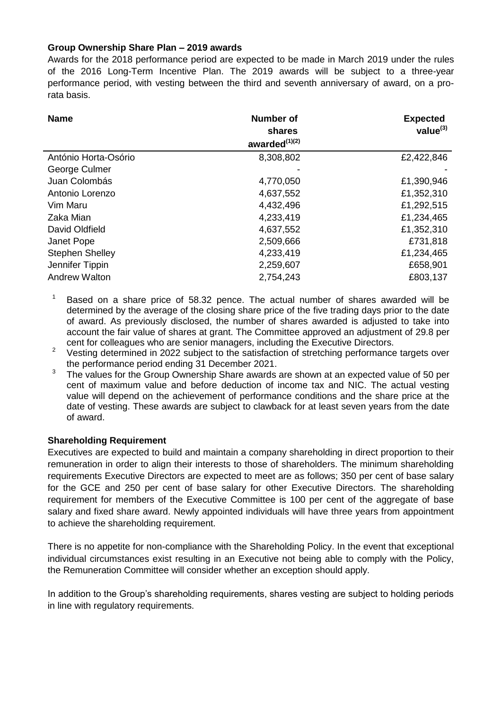### **Group Ownership Share Plan – 2019 awards**

Awards for the 2018 performance period are expected to be made in March 2019 under the rules of the 2016 Long-Term Incentive Plan. The 2019 awards will be subject to a three-year performance period, with vesting between the third and seventh anniversary of award, on a prorata basis.

| <b>Name</b>            | <b>Number of</b><br>shares<br>awarded $^{(1)(2)}$ | <b>Expected</b><br>value $^{(3)}$ |
|------------------------|---------------------------------------------------|-----------------------------------|
| António Horta-Osório   | 8,308,802                                         | £2,422,846                        |
| George Culmer          |                                                   |                                   |
| Juan Colombás          | 4,770,050                                         | £1,390,946                        |
| Antonio Lorenzo        | 4,637,552                                         | £1,352,310                        |
| Vim Maru               | 4,432,496                                         | £1,292,515                        |
| Zaka Mian              | 4,233,419                                         | £1,234,465                        |
| David Oldfield         | 4,637,552                                         | £1,352,310                        |
| Janet Pope             | 2,509,666                                         | £731,818                          |
| <b>Stephen Shelley</b> | 4,233,419                                         | £1,234,465                        |
| Jennifer Tippin        | 2,259,607                                         | £658,901                          |
| <b>Andrew Walton</b>   | 2,754,243                                         | £803,137                          |

Based on a share price of 58.32 pence. The actual number of shares awarded will be determined by the average of the closing share price of the five trading days prior to the date of award. As previously disclosed, the number of shares awarded is adjusted to take into account the fair value of shares at grant. The Committee approved an adjustment of 29.8 per cent for colleagues who are senior managers, including the Executive Directors.

<sup>2</sup> Vesting determined in 2022 subject to the satisfaction of stretching performance targets over the performance period ending 31 December 2021.

3 The values for the Group Ownership Share awards are shown at an expected value of 50 per cent of maximum value and before deduction of income tax and NIC. The actual vesting value will depend on the achievement of performance conditions and the share price at the date of vesting. These awards are subject to clawback for at least seven years from the date of award.

### **Shareholding Requirement**

Executives are expected to build and maintain a company shareholding in direct proportion to their remuneration in order to align their interests to those of shareholders. The minimum shareholding requirements Executive Directors are expected to meet are as follows; 350 per cent of base salary for the GCE and 250 per cent of base salary for other Executive Directors. The shareholding requirement for members of the Executive Committee is 100 per cent of the aggregate of base salary and fixed share award. Newly appointed individuals will have three years from appointment to achieve the shareholding requirement.

There is no appetite for non-compliance with the Shareholding Policy. In the event that exceptional individual circumstances exist resulting in an Executive not being able to comply with the Policy, the Remuneration Committee will consider whether an exception should apply.

In addition to the Group's shareholding requirements, shares vesting are subject to holding periods in line with regulatory requirements.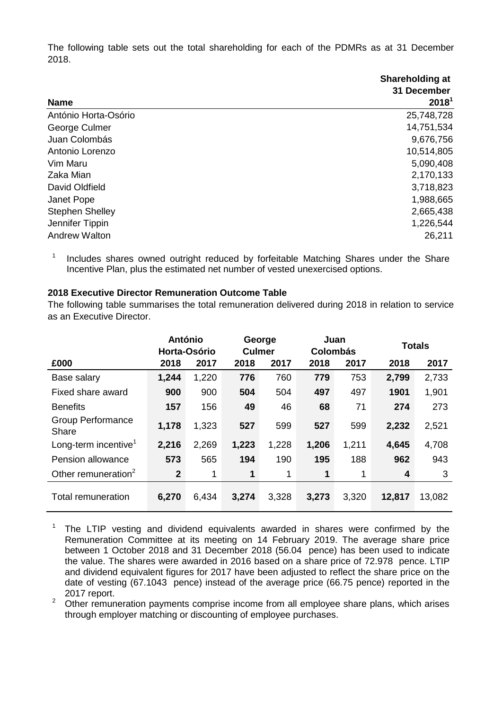The following table sets out the total shareholding for each of the PDMRs as at 31 December 2018.

|                        | Shareholding at<br>31 December |
|------------------------|--------------------------------|
| <b>Name</b>            | 2018 <sup>1</sup>              |
| António Horta-Osório   | 25,748,728                     |
| George Culmer          | 14,751,534                     |
| Juan Colombás          | 9,676,756                      |
| Antonio Lorenzo        | 10,514,805                     |
| Vim Maru               | 5,090,408                      |
| Zaka Mian              | 2,170,133                      |
| David Oldfield         | 3,718,823                      |
| Janet Pope             | 1,988,665                      |
| <b>Stephen Shelley</b> | 2,665,438                      |
| Jennifer Tippin        | 1,226,544                      |
| <b>Andrew Walton</b>   | 26,211                         |

1 Includes shares owned outright reduced by forfeitable Matching Shares under the Share Incentive Plan, plus the estimated net number of vested unexercised options.

### **2018 Executive Director Remuneration Outcome Table**

The following table summarises the total remuneration delivered during 2018 in relation to service as an Executive Director.

|                                   |                | Juan<br>George<br><b>Colombás</b><br><b>Culmer</b> |       | <b>António</b><br>Horta-Osório |       |       | <b>Totals</b> |        |
|-----------------------------------|----------------|----------------------------------------------------|-------|--------------------------------|-------|-------|---------------|--------|
| £000                              | 2018           | 2017                                               | 2018  | 2017                           | 2018  | 2017  | 2018          | 2017   |
| Base salary                       | 1,244          | 1,220                                              | 776   | 760                            | 779   | 753   | 2,799         | 2,733  |
| Fixed share award                 | 900            | 900                                                | 504   | 504                            | 497   | 497   | 1901          | 1,901  |
| <b>Benefits</b>                   | 157            | 156                                                | 49    | 46                             | 68    | 71    | 274           | 273    |
| <b>Group Performance</b><br>Share | 1,178          | 1,323                                              | 527   | 599                            | 527   | 599   | 2,232         | 2,521  |
| Long-term incentive <sup>1</sup>  | 2,216          | 2,269                                              | 1,223 | 1,228                          | 1,206 | 1,211 | 4,645         | 4,708  |
| Pension allowance                 | 573            | 565                                                | 194   | 190                            | 195   | 188   | 962           | 943    |
| Other remuneration <sup>2</sup>   | $\overline{2}$ | 1                                                  | 1     | 1                              | 1     | 1     | 4             | 3      |
| <b>Total remuneration</b>         | 6,270          | 6,434                                              | 3,274 | 3,328                          | 3,273 | 3,320 | 12,817        | 13,082 |

The LTIP vesting and dividend equivalents awarded in shares were confirmed by the Remuneration Committee at its meeting on 14 February 2019. The average share price between 1 October 2018 and 31 December 2018 (56.04 pence) has been used to indicate the value. The shares were awarded in 2016 based on a share price of 72.978 pence. LTIP and dividend equivalent figures for 2017 have been adjusted to reflect the share price on the date of vesting (67.1043 pence) instead of the average price (66.75 pence) reported in the 2017 report.

<sup>2</sup> Other remuneration payments comprise income from all employee share plans, which arises through employer matching or discounting of employee purchases.